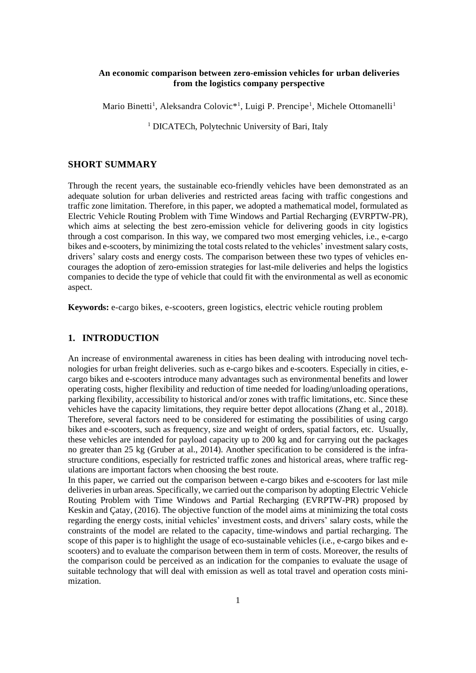## **An economic comparison between zero-emission vehicles for urban deliveries from the logistics company perspective**

Mario Binetti<sup>1</sup>, Aleksandra Colovic<sup>\*1</sup>, Luigi P. Prencipe<sup>1</sup>, Michele Ottomanelli<sup>1</sup>

<sup>1</sup> DICATECh, Polytechnic University of Bari, Italy

### **SHORT SUMMARY**

Through the recent years, the sustainable eco-friendly vehicles have been demonstrated as an adequate solution for urban deliveries and restricted areas facing with traffic congestions and traffic zone limitation. Therefore, in this paper, we adopted a mathematical model, formulated as Electric Vehicle Routing Problem with Time Windows and Partial Recharging (EVRPTW-PR), which aims at selecting the best zero-emission vehicle for delivering goods in city logistics through a cost comparison. In this way, we compared two most emerging vehicles, i.e., e-cargo bikes and e-scooters, by minimizing the total costs related to the vehicles' investment salary costs, drivers' salary costs and energy costs. The comparison between these two types of vehicles encourages the adoption of zero-emission strategies for last-mile deliveries and helps the logistics companies to decide the type of vehicle that could fit with the environmental as well as economic aspect.

**Keywords:** e-cargo bikes, e-scooters, green logistics, electric vehicle routing problem

# **1. INTRODUCTION**

An increase of environmental awareness in cities has been dealing with introducing novel technologies for urban freight deliveries. such as e-cargo bikes and e-scooters. Especially in cities, ecargo bikes and e-scooters introduce many advantages such as environmental benefits and lower operating costs, higher flexibility and reduction of time needed for loading/unloading operations, parking flexibility, accessibility to historical and/or zones with traffic limitations, etc. Since these vehicles have the capacity limitations, they require better depot allocations (Zhang et al., 2018). Therefore, several factors need to be considered for estimating the possibilities of using cargo bikes and e-scooters, such as frequency, size and weight of orders, spatial factors, etc. Usually, these vehicles are intended for payload capacity up to 200 kg and for carrying out the packages no greater than 25 kg (Gruber at al., 2014). Another specification to be considered is the infrastructure conditions, especially for restricted traffic zones and historical areas, where traffic regulations are important factors when choosing the best route.

In this paper, we carried out the comparison between e-cargo bikes and e-scooters for last mile deliveries in urban areas. Specifically, we carried out the comparison by adopting Electric Vehicle Routing Problem with Time Windows and Partial Recharging (EVRPTW-PR) proposed by Keskin and Çatay, (2016). The objective function of the model aims at minimizing the total costs regarding the energy costs, initial vehicles' investment costs, and drivers' salary costs, while the constraints of the model are related to the capacity, time-windows and partial recharging. The scope of this paper is to highlight the usage of eco-sustainable vehicles (i.e., e-cargo bikes and escooters) and to evaluate the comparison between them in term of costs. Moreover, the results of the comparison could be perceived as an indication for the companies to evaluate the usage of suitable technology that will deal with emission as well as total travel and operation costs minimization.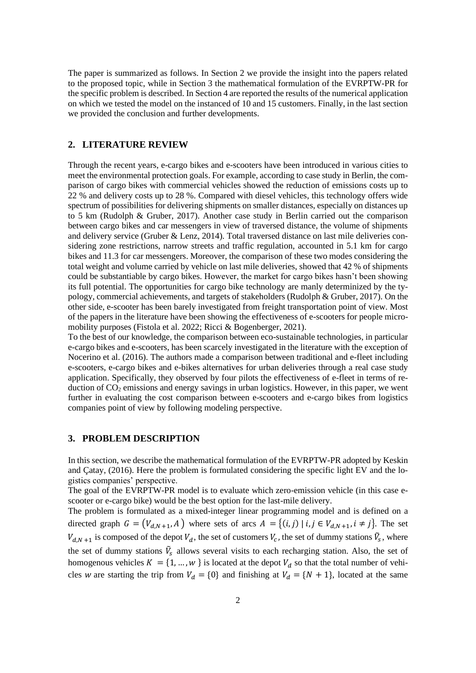The paper is summarized as follows. In Section 2 we provide the insight into the papers related to the proposed topic, while in Section 3 the mathematical formulation of the EVRPTW-PR for the specific problem is described. In Section 4 are reported the results of the numerical application on which we tested the model on the instanced of 10 and 15 customers. Finally, in the last section we provided the conclusion and further developments.

# **2. LITERATURE REVIEW**

Through the recent years, e-cargo bikes and e-scooters have been introduced in various cities to meet the environmental protection goals. For example, according to case study in Berlin, the comparison of cargo bikes with commercial vehicles showed the reduction of emissions costs up to 22 % and delivery costs up to 28 %. Compared with diesel vehicles, this technology offers wide spectrum of possibilities for delivering shipments on smaller distances, especially on distances up to 5 km (Rudolph & Gruber, 2017). Another case study in Berlin carried out the comparison between cargo bikes and car messengers in view of traversed distance, the volume of shipments and delivery service (Gruber & Lenz, 2014). Total traversed distance on last mile deliveries considering zone restrictions, narrow streets and traffic regulation, accounted in 5.1 km for cargo bikes and 11.3 for car messengers. Moreover, the comparison of these two modes considering the total weight and volume carried by vehicle on last mile deliveries, showed that 42 % of shipments could be substantiable by cargo bikes. However, the market for cargo bikes hasn't been showing its full potential. The opportunities for cargo bike technology are manly determinized by the typology, commercial achievements, and targets of stakeholders (Rudolph & Gruber, 2017). On the other side, e-scooter has been barely investigated from freight transportation point of view. Most of the papers in the literature have been showing the effectiveness of e-scooters for people micromobility purposes (Fistola et al. 2022; Ricci & Bogenberger, 2021).

To the best of our knowledge, the comparison between eco-sustainable technologies, in particular e-cargo bikes and e-scooters, has been scarcely investigated in the literature with the exception of Nocerino et al. (2016). The authors made a comparison between traditional and e-fleet including e-scooters, e-cargo bikes and e-bikes alternatives for urban deliveries through a real case study application. Specifically, they observed by four pilots the effectiveness of e-fleet in terms of reduction of  $CO<sub>2</sub>$  emissions and energy savings in urban logistics. However, in this paper, we went further in evaluating the cost comparison between e-scooters and e-cargo bikes from logistics companies point of view by following modeling perspective.

#### **3. PROBLEM DESCRIPTION**

In this section, we describe the mathematical formulation of the EVRPTW-PR adopted by Keskin and Çatay, (2016). Here the problem is formulated considering the specific light EV and the logistics companies' perspective.

The goal of the EVRPTW-PR model is to evaluate which zero-emission vehicle (in this case escooter or e-cargo bike) would be the best option for the last-mile delivery.

The problem is formulated as a mixed-integer linear programming model and is defined on a directed graph  $G = (V_{d,N+1}, A)$  where sets of arcs  $A = \{(i,j) | i,j \in V_{d,N+1}, i \neq j\}$ . The set  $V_{d,N+1}$  is composed of the depot  $V_d$ , the set of customers  $V_c$ , the set of dummy stations  $\tilde{V}_s$ , where the set of dummy stations  $\tilde{V}_s$  allows several visits to each recharging station. Also, the set of homogenous vehicles  $K = \{1, ..., w\}$  is located at the depot  $V_d$  so that the total number of vehicles w are starting the trip from  $V_d = \{0\}$  and finishing at  $V_d = \{N + 1\}$ , located at the same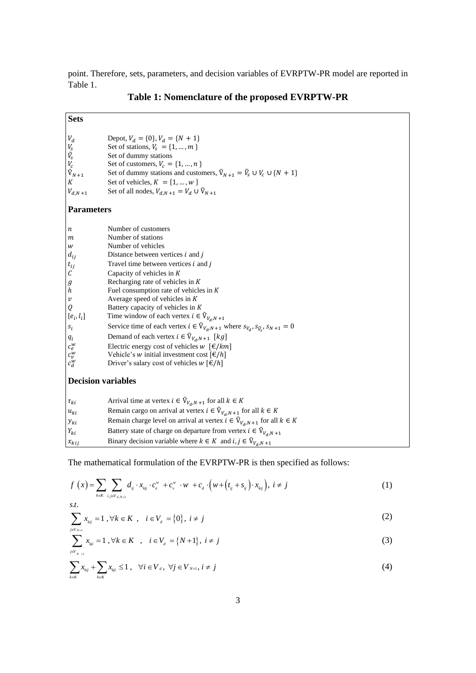point. Therefore, sets, parameters, and decision variables of EVRPTW-PR model are reported in Table 1.

| <b>Sets</b>                                                                                                                                                                                                                                                |                                                                                                                                                                                                                                                                                                                                                                                                                                                                                                                                                                                                                                                                                                                                                             |  |  |  |  |  |
|------------------------------------------------------------------------------------------------------------------------------------------------------------------------------------------------------------------------------------------------------------|-------------------------------------------------------------------------------------------------------------------------------------------------------------------------------------------------------------------------------------------------------------------------------------------------------------------------------------------------------------------------------------------------------------------------------------------------------------------------------------------------------------------------------------------------------------------------------------------------------------------------------------------------------------------------------------------------------------------------------------------------------------|--|--|--|--|--|
| ${\cal V}_d$<br>$V_s$<br>$\tilde{V}_s$<br>$V_c$<br>$\tilde{V}_{N+1}$<br>$\cal K$<br>$V_{d,N\,+1}$                                                                                                                                                          | Depot, $V_d = \{0\}$ , $V_d = \{N + 1\}$<br>Set of stations, $V_s = \{1, , m\}$<br>Set of dummy stations<br>Set of customers, $V_c = \{1, , n\}$<br>Set of dummy stations and customers, $\tilde{V}_{N+1} = \tilde{V}_S \cup V_C \cup \{N+1\}$<br>Set of vehicles, $K = \{1, , w\}$<br>Set of all nodes, $V_{d,N+1} = V_d \cup \tilde{V}_{N+1}$                                                                                                                                                                                                                                                                                                                                                                                                             |  |  |  |  |  |
| <b>Parameters</b>                                                                                                                                                                                                                                          |                                                                                                                                                                                                                                                                                                                                                                                                                                                                                                                                                                                                                                                                                                                                                             |  |  |  |  |  |
| $\boldsymbol{n}$<br>m<br>$\ensuremath{W}$<br>$d_{ij}$<br>$t_{ij}$<br>$\mathcal C$<br>$g_{h}^{\phantom{\dag}}$<br>$\boldsymbol{\mathcal{V}}$<br>$\boldsymbol{Q}$<br>$[e_i, l_i]$<br>$\boldsymbol{s}_i$<br>$\mathfrak{q}_i$<br>$c_e^w$<br>$c_v^w$<br>$c_d^w$ | Number of customers<br>Number of stations<br>Number of vehicles<br>Distance between vertices $i$ and $j$<br>Travel time between vertices $i$ and $j$<br>Capacity of vehicles in $K$<br>Recharging rate of vehicles in $K$<br>Fuel consumption rate of vehicles in $K$<br>Average speed of vehicles in $K$<br>Battery capacity of vehicles in K<br>Time window of each vertex $i \in \tilde{V}_{V_d,N+1}$<br>Service time of each vertex $i \in \tilde{V}_{V_d,N+1}$ where $s_{V_d}, s_{\tilde{V}_S}, s_{N+1} = 0$<br>Demand of each vertex $i \in \tilde{V}_{V_d,N+1}$ [kg]<br>Electric energy cost of vehicles $w \ [\epsilon/km]$<br>Vehicle's <i>w</i> initial investment cost $[\mathcal{E}/h]$<br>Driver's salary cost of vehicles $w [\mathcal{E}/h]$ |  |  |  |  |  |
| <b>Decision variables</b>                                                                                                                                                                                                                                  |                                                                                                                                                                                                                                                                                                                                                                                                                                                                                                                                                                                                                                                                                                                                                             |  |  |  |  |  |
| $\tau_{ki}$<br>$u_{ki}$<br>$y_{ki}$<br>$Y_{ki}$                                                                                                                                                                                                            | Arrival time at vertex $i \in \tilde{V}_{V_d, N+1}$ for all $k \in K$<br>Remain cargo on arrival at vertex $i \in \tilde{V}_{V_d,N+1}$ for all $k \in K$<br>Remain charge level on arrival at vertex $i \in \tilde{V}_{V_d,N+1}$ for all $k \in K$<br>Battery state of charge on departure from vertex $i \in \tilde{V}_{V_d,N+1}$                                                                                                                                                                                                                                                                                                                                                                                                                          |  |  |  |  |  |
| $x_{kij}$                                                                                                                                                                                                                                                  | Binary decision variable where $k \in K$ and $i, j \in \tilde{V}_{V_d, N+1}$                                                                                                                                                                                                                                                                                                                                                                                                                                                                                                                                                                                                                                                                                |  |  |  |  |  |

# **Table 1: Nomenclature of the proposed EVRPTW-PR**

The mathematical formulation of the EVRPTW-PR is then specified as follows:  
\n
$$
f(x) = \sum_{k \in K} \sum_{i,j \in V_{d,N+1}} d_{ij} \cdot x_{kij} \cdot c_e^w + c_v^w \cdot w + c_d \cdot \left(w + \left(t_{ij} + s_{ij}\right) \cdot x_{kij}\right), \ i \neq j
$$
\n
$$
s.t. \tag{1}
$$

$$
\sum_{j \in V_{N+i}} x_{kj} = 1, \forall k \in K, \quad i \in V_d = \{0\}, \ i \neq j
$$
 (2)

$$
\sum_{j \in V_{N+1}}^{j \in V_{N+1}} x_{kji} = 1 \,, \forall k \in K \quad , \quad i \in V_d = \{N+1\}, \ i \neq j \tag{3}
$$

$$
\sum_{j \in V_{N+1}} x_{kji} = 1, \forall k \in \mathbb{A} \quad , \quad t \in V_d = \{N+1\}, \quad t \neq j
$$
\n
$$
\sum_{k \in K} x_{kij} + \sum_{k \in K} x_{kji} \leq 1, \quad \forall i \in V_d, \quad \forall j \in V_{N+1}, \quad i \neq j
$$
\n
$$
(4)
$$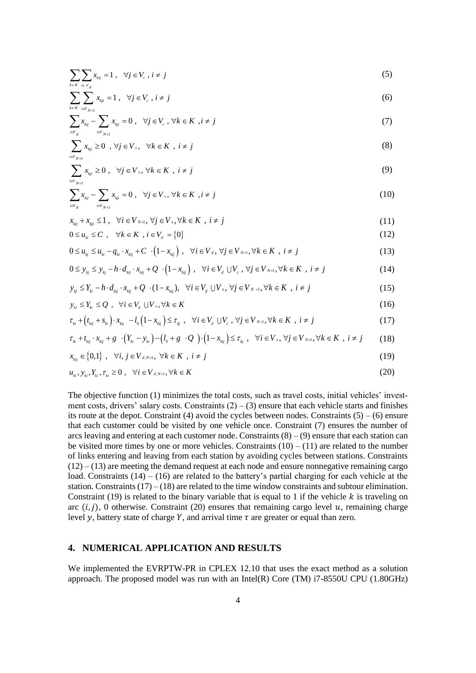$$
\sum_{k \in K} \sum_{i \in V_d} x_{kj} = 1 \,, \quad \forall j \in V_c \,, i \neq j \tag{5}
$$

$$
\sum_{k \in K} \sum_{i \in V_{N+1}}^{i \in V_{i}} x_{kji} = 1 \,, \quad \forall j \in V_{c} \,, i \neq j \tag{6}
$$

$$
\sum_{k \in K} \sum_{i \in V_{N+1}} x_{kj} = 1, \quad \forall j \in V_c, \ i \neq j
$$
\n
$$
\sum_{i \in V_d} x_{kj} - \sum_{i \in V_{N+1}} x_{kj} = 0, \quad \forall j \in V_c, \ \forall k \in K, \ i \neq j
$$
\n
$$
(7)
$$

$$
\sum_{i \in V_{N+1}} x_{kij} \ge 0 \quad , \forall j \in V_s, \quad \forall k \in K \quad , i \ne j \tag{8}
$$

$$
\sum_{i\in V_{N+1}} x_{kji} \ge 0 \,, \quad \forall j \in V_s, \, \forall k \in K \,, \, i \ne j \tag{9}
$$

$$
\sum_{i \in V_{N+1}} x_{kji} \ge 0, \quad \forall j \in V_s, \forall k \in K, \quad i \ne j
$$
\n
$$
\sum_{i \in V_{d}} x_{kij} - \sum_{i \in V_{N+1}} x_{kji} = 0, \quad \forall j \in V_s, \forall k \in K, \quad i \ne j
$$
\n
$$
(10)
$$

$$
x_{\scriptscriptstyle{kij}} + x_{\scriptscriptstyle{kji}} \le 1 \,, \quad \forall i \in V_{\scriptscriptstyle N+1}, \, \forall j \in V_{\scriptscriptstyle s}, \forall k \in K \,, \, i \ne j \tag{11}
$$

$$
\begin{aligned}\n\mathcal{L}_{kj} & \mathcal{L}_{kj} & \Delta \mathcal{L}_{kj} & \Delta \mathcal{L}_{kj} & \Delta \mathcal{L}_{kj} & \Delta \mathcal{L}_{kj} & \Delta \mathcal{L}_{kj} & \Delta \mathcal{L}_{kj} & \Delta \mathcal{L}_{kj} & \Delta \mathcal{L}_{kj} & \Delta \mathcal{L}_{kj} & \Delta \mathcal{L}_{kj} & \Delta \mathcal{L}_{kj} & \Delta \mathcal{L}_{kj} & \Delta \mathcal{L}_{kj} & \Delta \mathcal{L}_{kj} & \Delta \mathcal{L}_{kj} & \Delta \mathcal{L}_{kj} & \Delta \mathcal{L}_{kj} & \Delta \mathcal{L}_{kj} & \Delta \mathcal{L}_{kj} & \Delta \mathcal{L}_{kj} & \Delta \mathcal{L}_{kj} & \Delta \mathcal{L}_{kj} & \Delta \mathcal{L}_{kj} & \Delta \mathcal{L}_{kj} & \Delta \mathcal{L}_{kj} & \Delta \mathcal{L}_{kj} & \Delta \mathcal{L}_{kj} & \Delta \mathcal{L}_{kj} & \Delta \mathcal{L}_{kj} & \Delta \mathcal{L}_{kj} & \Delta \mathcal{L}_{kj} & \Delta \mathcal{L}_{kj} & \Delta \mathcal{L}_{kj} & \Delta \mathcal{L}_{kj} & \Delta \mathcal{L}_{kj} & \Delta \mathcal{L}_{kj} & \Delta \mathcal{L}_{kj} & \Delta \mathcal{L}_{kj} & \Delta \mathcal{L}_{kj} & \Delta \mathcal{L}_{kj} & \Delta \mathcal{L}_{kj} & \Delta \mathcal{L}_{kj} & \Delta \mathcal{L}_{kj} & \Delta \mathcal{L}_{kj} & \Delta \mathcal{L}_{kj} & \Delta \mathcal{L}_{kj} & \Delta \mathcal{L}_{kj} & \Delta \mathcal{L}_{kj} & \Delta \mathcal{L}_{kj} & \Delta \mathcal{L}_{kj} & \Delta \mathcal{L}_{kj} & \Delta \mathcal{L}_{kj} & \Delta \mathcal{L}_{kj} & \Delta \mathcal{L}_{kj} & \Delta \mathcal{L}_{kj} & \Delta \mathcal{L}_{kj} & \Delta \math
$$

$$
0 \le u_{ki} \le C, \quad \forall k \in K, i \in V_a = \{0\}
$$
  
\n
$$
0 \le u_{kj} \le u_{ki} - q_{ki} \cdot x_{kij} + C \cdot (1 - x_{kij}), \quad \forall i \in V_a, \forall j \in V_{N+1}, \forall k \in K, i \ne j
$$
\n
$$
(12)
$$

$$
0 \le u_{kj} \le u_{ki} - q_{ki} \cdot x_{kij} + C \cdot (1 - x_{kij}), \quad \forall i \in V_a, \forall j \in V_{N+1}, \forall k \in K, i \ne j
$$
\n
$$
0 \le y_{kj} \le y_{kj} - h \cdot d_{kj} \cdot x_{kij} + Q \cdot (1 - x_{kij}), \quad \forall i \in V_a \cup V_c, \forall j \in V_{N+1}, \forall k \in K, i \ne j
$$
\n
$$
y_{kj} \le Y_{ki} - h \cdot d_{kj} \cdot x_{kij} + Q \cdot (1 - x_{kij}), \quad \forall i \in V_a \cup V_s, \forall j \in V_{N+1}, \forall k \in K, i \ne j
$$
\n
$$
(15)
$$

$$
y_{kj} \le Y_{ki} - h \cdot d_{kij} \cdot x_{kij} + Q \cdot (1 - x_{kij}), \quad \forall i \in V_a \cup V_s, \forall j \in V_{N+1}, \forall k \in K, i \ne j
$$
 (15)

$$
y_{ki} \le Y_{ki} \le Q \, , \quad \forall i \in V_a \cup V_s, \forall k \in K \tag{16}
$$

$$
y_{ki} \le Y_{ki} \le Q , \quad \forall i \in V_d \cup V_s, \forall k \in K
$$
\n
$$
\tau_{ki} + (t_{kij} + s_{ki}) \cdot x_{kij} - l_0 (1 - x_{kij}) \le \tau_{kj} , \quad \forall i \in V_d \cup V_c, \forall j \in V_{N+1}, \forall k \in K , i \ne j
$$
\n
$$
\tau_{ki} + t_{kij} \cdot x_{kij} + g \cdot (Y_{ki} - y_{ki}) - (l_0 + g \cdot Q) \cdot (1 - x_{kij}) \le \tau_{kj} , \quad \forall i \in V_s, \forall j \in V_{N+1}, \forall k \in K , i \ne j
$$
\n(18)

$$
\tau_{\scriptscriptstyle ki} + t_{\scriptscriptstyle kij} \cdot x_{\scriptscriptstyle kij} + g \cdot (Y_{\scriptscriptstyle ki} - y_{\scriptscriptstyle ki}) - (l_{\scriptscriptstyle 0} + g \cdot Q) \cdot (1 - x_{\scriptscriptstyle kij}) \leq \tau_{\scriptscriptstyle kij}, \quad \forall i \in V_{\scriptscriptstyle s}, \ \forall j \in V_{\scriptscriptstyle N+1}, \forall k \in K \ \ i \neq j \tag{18}
$$

$$
x_{kij} \in \{0,1\}, \quad \forall i, j \in V_{d,N+1}, \ \forall k \in K \ , \ i \neq j
$$
 (19)

$$
u_{ki}, y_{ki}, Y_{ki}, \tau_{ki} \ge 0 , \quad \forall i \in V_{d,N+1}, \forall k \in K
$$
\n
$$
(20)
$$

The objective function (1) minimizes the total costs, such as travel costs, initial vehicles' investment costs, drivers' salary costs. Constraints  $(2) - (3)$  ensure that each vehicle starts and finishes its route at the depot. Constraint (4) avoid the cycles between nodes. Constraints  $(5) - (6)$  ensure that each customer could be visited by one vehicle once. Constraint (7) ensures the number of arcs leaving and entering at each customer node. Constraints  $(8) - (9)$  ensure that each station can be visited more times by one or more vehicles. Constraints  $(10) - (11)$  are related to the number of links entering and leaving from each station by avoiding cycles between stations. Constraints  $(12) - (13)$  are meeting the demand request at each node and ensure nonnegative remaining cargo load. Constraints  $(14) - (16)$  are related to the battery's partial charging for each vehicle at the station. Constraints  $(17) - (18)$  are related to the time window constraints and subtour elimination. Constraint (19) is related to the binary variable that is equal to 1 if the vehicle  $k$  is traveling on arc  $(i, j)$ , 0 otherwise. Constraint (20) ensures that remaining cargo level u, remaining charge level y, battery state of charge Y, and arrival time  $\tau$  are greater or equal than zero.

## **4. NUMERICAL APPLICATION AND RESULTS**

We implemented the EVRPTW-PR in CPLEX 12.10 that uses the exact method as a solution approach. The proposed model was run with an Intel(R) Core (TM)  $i7-8550U$  CPU (1.80GHz)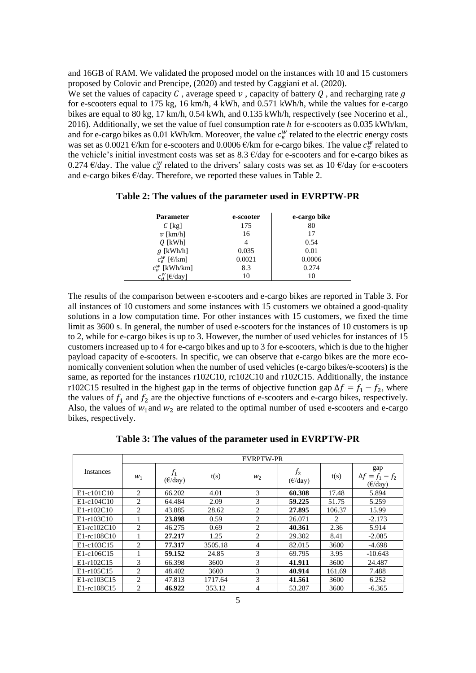and 16GB of RAM. We validated the proposed model on the instances with 10 and 15 customers proposed by Colovic and Prencipe, (2020) and tested by Caggiani et al. (2020).

We set the values of capacity C, average speed v, capacity of battery O, and recharging rate q for e-scooters equal to 175 kg, 16 km/h, 4 kWh, and 0.571 kWh/h, while the values for e-cargo bikes are equal to 80 kg, 17 km/h, 0.54 kWh, and 0.135 kWh/h, respectively (see Nocerino et al., 2016). Additionally, we set the value of fuel consumption rate h for e-scooters as 0.035 kWh/km, and for e-cargo bikes as 0.01 kWh/km. Moreover, the value  $c_e^w$  related to the electric energy costs was set as 0.0021  $\epsilon$ /km for e-scooters and 0.0006  $\epsilon$ /km for e-cargo bikes. The value  $c_v^w$  related to the vehicle's initial investment costs was set as  $8.3 \text{ E/day}$  for e-scooters and for e-cargo bikes as 0.274  $\epsilon$ /day. The value  $c_d^w$  related to the drivers' salary costs was set as 10  $\epsilon$ /day for e-scooters and e-cargo bikes  $\epsilon$ /day. Therefore, we reported these values in Table 2.

| <b>Parameter</b>             | e-scooter | e-cargo bike |
|------------------------------|-----------|--------------|
| $C$ [kg]                     | 175       | 80           |
| $\nu$ [km/h]                 | 16        | 17           |
| $Q$ [kWh]                    |           | 0.54         |
| $q$ [kWh/h]                  | 0.035     | 0.01         |
| $c_e^w$ [ $\varepsilon$ /km] | 0.0021    | 0.0006       |
| $c_{n}^{W}$ [kWh/km]         | 8.3       | 0.274        |

 $c_d^w[\text{E/day}]$  10 10

**Table 2: The values of the parameter used in EVRPTW-PR**

The results of the comparison between e-scooters and e-cargo bikes are reported in Table 3. For all instances of 10 customers and some instances with 15 customers we obtained a good-quality solutions in a low computation time. For other instances with 15 customers, we fixed the time limit as 3600 s. In general, the number of used e-scooters for the instances of 10 customers is up to 2, while for e-cargo bikes is up to 3. However, the number of used vehicles for instances of 15 customers increased up to 4 for e-cargo bikes and up to 3 for e-scooters, which is due to the higher payload capacity of e-scooters. In specific, we can observe that e-cargo bikes are the more economically convenient solution when the number of used vehicles (e-cargo bikes/e-scooters) is the same, as reported for the instances r102C10, rc102C10 and r102C15. Additionally, the instance r102C15 resulted in the highest gap in the terms of objective function gap  $\Delta f = f_1 - f_2$ , where the values of  $f_1$  and  $f_2$  are the objective functions of e-scooters and e-cargo bikes, respectively. Also, the values of  $w_1$  and  $w_2$  are related to the optimal number of used e-scooters and e-cargo bikes, respectively.

**Table 3: The values of the parameter used in EVRPTW-PR**

|                         | <b>EVRPTW-PR</b>              |                   |         |                |                            |        |                                                    |  |
|-------------------------|-------------------------------|-------------------|---------|----------------|----------------------------|--------|----------------------------------------------------|--|
| <i><u>Instances</u></i> | $W_1$                         | $(\epsilon$ /day) | t(s)    | $W_2$          | $f_2$<br>$(\epsilon$ /day) | t(s)   | gap<br>$\Delta f = f_1 - f_2$<br>$(\epsilon$ /day) |  |
| $E1-c101C10$            | 2                             | 66.202            | 4.01    | 3              | 60.308                     | 17.48  | 5.894                                              |  |
| E1-c104C10              | 2                             | 64.484            | 2.09    | 3              | 59.225                     | 51.75  | 5.259                                              |  |
| E1-r102C10              | 2                             | 43.885            | 28.62   | 2              | 27.895                     | 106.37 | 15.99                                              |  |
| $E1 - r103C10$          |                               | 23.898            | 0.59    | 2              | 26.071                     | 2      | $-2.173$                                           |  |
| E1-rc102C10             | 2                             | 46.275            | 0.69    | 2              | 40.361                     | 2.36   | 5.914                                              |  |
| E1-rc108C10             |                               | 27.217            | 1.25    | 2              | 29.302                     | 8.41   | $-2.085$                                           |  |
| E1-c103C15              | 2                             | 77.317            | 3505.18 | $\overline{4}$ | 82.015                     | 3600   | $-4.698$                                           |  |
| E1-c106C15              |                               | 59.152            | 24.85   | 3              | 69.795                     | 3.95   | $-10.643$                                          |  |
| $E1 - r102C15$          | 3                             | 66.398            | 3600    | 3              | 41.911                     | 3600   | 24.487                                             |  |
| E1-r105C15              | 2                             | 48.402            | 3600    | 3              | 40.914                     | 161.69 | 7.488                                              |  |
| $E1-rc103C15$           | 2                             | 47.813            | 1717.64 | 3              | 41.561                     | 3600   | 6.252                                              |  |
| E1-rc108C15             | $\mathfrak{D}_{\mathfrak{p}}$ | 46.922            | 353.12  | $\overline{4}$ | 53.287                     | 3600   | $-6.365$                                           |  |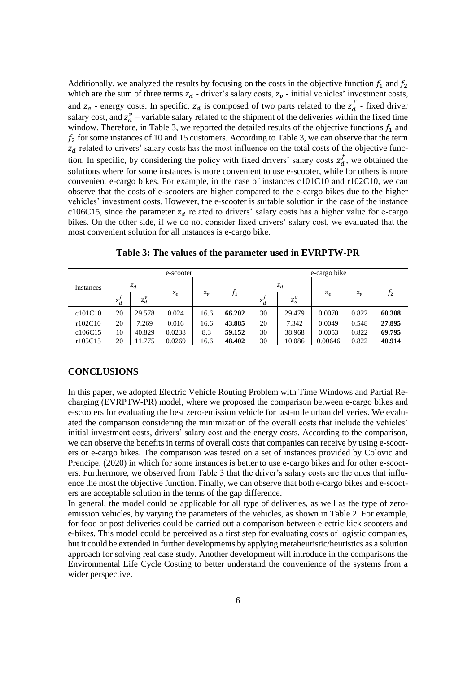Additionally, we analyzed the results by focusing on the costs in the objective function  $f_1$  and  $f_2$ which are the sum of three terms  $z_d$  - driver's salary costs,  $z_v$  - initial vehicles' investment costs, and  $z_e$  - energy costs. In specific,  $z_d$  is composed of two parts related to the  $z_d^f$  - fixed driver salary cost, and  $z_d^v$  – variable salary related to the shipment of the deliveries within the fixed time window. Therefore, in Table 3, we reported the detailed results of the objective functions  $f_1$  and  $f<sub>2</sub>$  for some instances of 10 and 15 customers. According to Table 3, we can observe that the term  $z_d$  related to drivers' salary costs has the most influence on the total costs of the objective function. In specific, by considering the policy with fixed drivers' salary costs  $z_d^f$ , we obtained the solutions where for some instances is more convenient to use e-scooter, while for others is more convenient e-cargo bikes. For example, in the case of instances c101C10 and r102C10, we can observe that the costs of e-scooters are higher compared to the e-cargo bikes due to the higher vehicles' investment costs. However, the e-scooter is suitable solution in the case of the instance c106C15, since the parameter  $z_d$  related to drivers' salary costs has a higher value for e-cargo bikes. On the other side, if we do not consider fixed drivers' salary cost, we evaluated that the most convenient solution for all instances is e-cargo bike.

| Instances | e-scooter |         |        |           | e-cargo bike |        |         |         |         |        |
|-----------|-----------|---------|--------|-----------|--------------|--------|---------|---------|---------|--------|
|           | $Z_d$     |         |        |           |              | $z_d$  |         |         |         |        |
|           | $z_d'$    | $z_d^v$ | $Z_e$  | $Z_{\nu}$ | $f_1$        | $z_d'$ | $z_d^v$ | $Z_e$   | $Z_{v}$ | $f_2$  |
| c101C10   | 20        | 29.578  | 0.024  | 16.6      | 66.202       | 30     | 29.479  | 0.0070  | 0.822   | 60.308 |
| r102C10   | 20        | 7.269   | 0.016  | 16.6      | 43.885       | 20     | 7.342   | 0.0049  | 0.548   | 27.895 |
| c106C15   | 10        | 40.829  | 0.0238 | 8.3       | 59.152       | 30     | 38.968  | 0.0053  | 0.822   | 69.795 |
| r105C15   | 20        | 11.775  | 0.0269 | 16.6      | 48.402       | 30     | 10.086  | 0.00646 | 0.822   | 40.914 |

**Table 3: The values of the parameter used in EVRPTW-PR**

#### **CONCLUSIONS**

In this paper, we adopted Electric Vehicle Routing Problem with Time Windows and Partial Recharging (EVRPTW-PR) model, where we proposed the comparison between e-cargo bikes and e-scooters for evaluating the best zero-emission vehicle for last-mile urban deliveries. We evaluated the comparison considering the minimization of the overall costs that include the vehicles' initial investment costs, drivers' salary cost and the energy costs. According to the comparison, we can observe the benefits in terms of overall costs that companies can receive by using e-scooters or e-cargo bikes. The comparison was tested on a set of instances provided by Colovic and Prencipe, (2020) in which for some instances is better to use e-cargo bikes and for other e-scooters. Furthermore, we observed from Table 3 that the driver's salary costs are the ones that influence the most the objective function. Finally, we can observe that both e-cargo bikes and e-scooters are acceptable solution in the terms of the gap difference.

In general, the model could be applicable for all type of deliveries, as well as the type of zeroemission vehicles, by varying the parameters of the vehicles, as shown in Table 2. For example, for food or post deliveries could be carried out a comparison between electric kick scooters and e-bikes. This model could be perceived as a first step for evaluating costs of logistic companies, but it could be extended in further developments by applying metaheuristic/heuristics as a solution approach for solving real case study. Another development will introduce in the comparisons the Environmental Life Cycle Costing to better understand the convenience of the systems from a wider perspective.